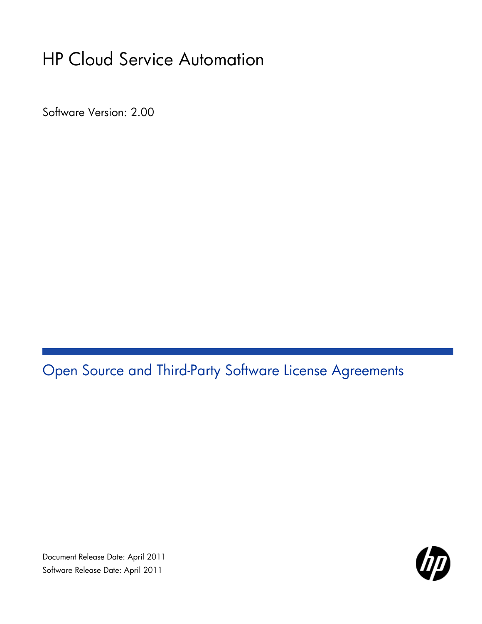# HP Cloud Service Automation

Software Version: 2.00

Open Source and Third-Party Software License Agreements

Document Release Date: April 2011 Software Release Date: April 2011

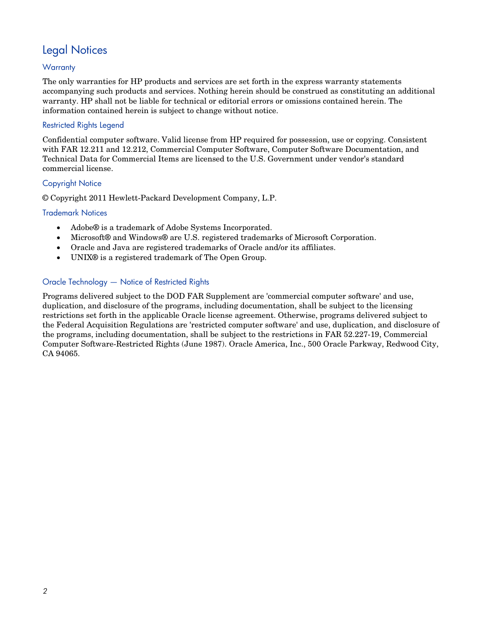# Legal Notices

## **Warranty**

The only warranties for HP products and services are set forth in the express warranty statements accompanying such products and services. Nothing herein should be construed as constituting an additional warranty. HP shall not be liable for technical or editorial errors or omissions contained herein. The information contained herein is subject to change without notice.

### Restricted Rights Legend

Confidential computer software. Valid license from HP required for possession, use or copying. Consistent with FAR 12.211 and 12.212, Commercial Computer Software, Computer Software Documentation, and Technical Data for Commercial Items are licensed to the U.S. Government under vendor's standard commercial license.

### Copyright Notice

© Copyright 2011 Hewlett-Packard Development Company, L.P.

### Trademark Notices

- Adobe® is a trademark of Adobe Systems Incorporated.
- Microsoft® and Windows® are U.S. registered trademarks of Microsoft Corporation.
- Oracle and Java are registered trademarks of Oracle and/or its affiliates.
- UNIX<sup>®</sup> is a registered trademark of The Open Group.

## Oracle Technology — Notice of Restricted Rights

Programs delivered subject to the DOD FAR Supplement are 'commercial computer software' and use, duplication, and disclosure of the programs, including documentation, shall be subject to the licensing restrictions set forth in the applicable Oracle license agreement. Otherwise, programs delivered subject to the Federal Acquisition Regulations are 'restricted computer software' and use, duplication, and disclosure of the programs, including documentation, shall be subject to the restrictions in FAR 52.227-19, Commercial Computer Software-Restricted Rights (June 1987). Oracle America, Inc., 500 Oracle Parkway, Redwood City, CA 94065.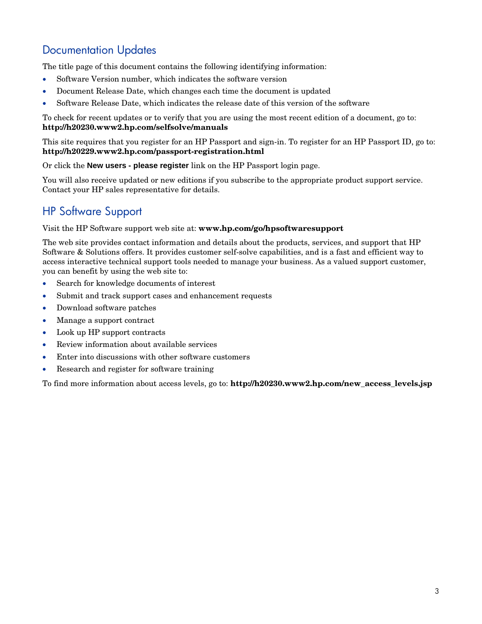# Documentation Updates

The title page of this document contains the following identifying information:

- Software Version number, which indicates the software version
- Document Release Date, which changes each time the document is updated
- Software Release Date, which indicates the release date of this version of the software

To check for recent updates or to verify that you are using the most recent edition of a document, go to: **<http://h20230.www2.hp.com/selfsolve/manuals>**

This site requires that you register for an HP Passport and sign-in. To register for an HP Passport ID, go to: **<http://h20229.www2.hp.com/passport-registration.html>**

Or click the **New users - please register** link on the HP Passport login page.

You will also receive updated or new editions if you subscribe to the appropriate product support service. Contact your HP sales representative for details.

# HP Software Support

Visit the HP Software support web site at: **www.hp.com/go/hpsoftwaresupport**

The web site provides contact information and details about the products, services, and support that HP Software & Solutions offers. It provides customer self-solve capabilities, and is a fast and efficient way to access interactive technical support tools needed to manage your business. As a valued support customer, you can benefit by using the web site to:

- Search for knowledge documents of interest
- Submit and track support cases and enhancement requests
- Download software patches
- Manage a support contract
- Look up HP support contracts
- Review information about available services
- Enter into discussions with other software customers
- Research and register for software training

To find more information about access levels, go to: **http://h20230.www2.hp.com/new\_access\_levels.jsp**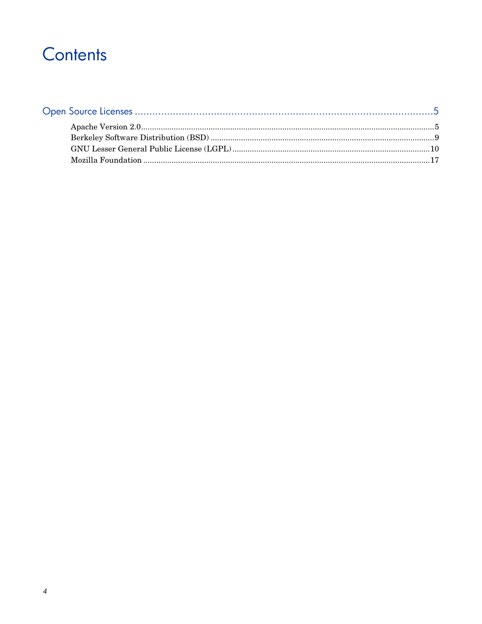# Contents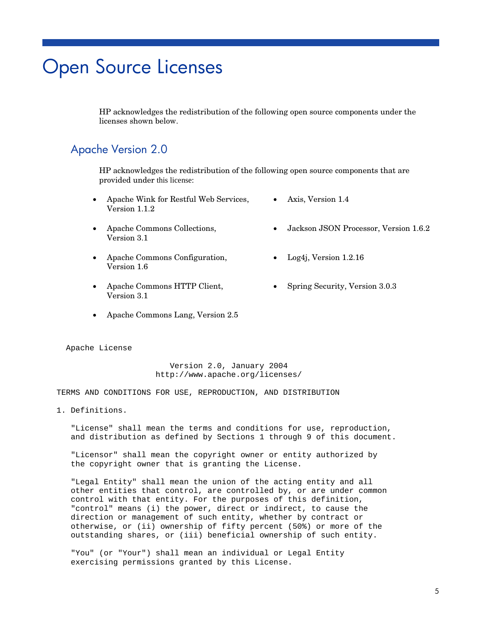# <span id="page-4-0"></span>Open Source Licenses

HP acknowledges the redistribution of the following open source components under the licenses shown below.

## <span id="page-4-1"></span>Apache Version 2.0

HP acknowledges the redistribution of the following open source components that are provided under this license:

- Apache Wink for Restful Web Services, Version 1.1.2
- Apache Commons Collections, Version 3.1
- Apache Commons Configuration, Version 1.6
- Apache Commons HTTP Client, Version 3.1
- Apache Commons Lang, Version 2.5

Apache License

 Version 2.0, January 2004 http://www.apache.org/licenses/

TERMS AND CONDITIONS FOR USE, REPRODUCTION, AND DISTRIBUTION

1. Definitions.

 "License" shall mean the terms and conditions for use, reproduction, and distribution as defined by Sections 1 through 9 of this document.

 "Licensor" shall mean the copyright owner or entity authorized by the copyright owner that is granting the License.

 "Legal Entity" shall mean the union of the acting entity and all other entities that control, are controlled by, or are under common control with that entity. For the purposes of this definition, "control" means (i) the power, direct or indirect, to cause the direction or management of such entity, whether by contract or otherwise, or (ii) ownership of fifty percent (50%) or more of the outstanding shares, or (iii) beneficial ownership of such entity.

 "You" (or "Your") shall mean an individual or Legal Entity exercising permissions granted by this License.

- 
- Jackson JSON Processor, Version 1.6.2
- Log4j, Version  $1.2.16$

• Axis, Version 1.4

• Spring Security, Version 3.0.3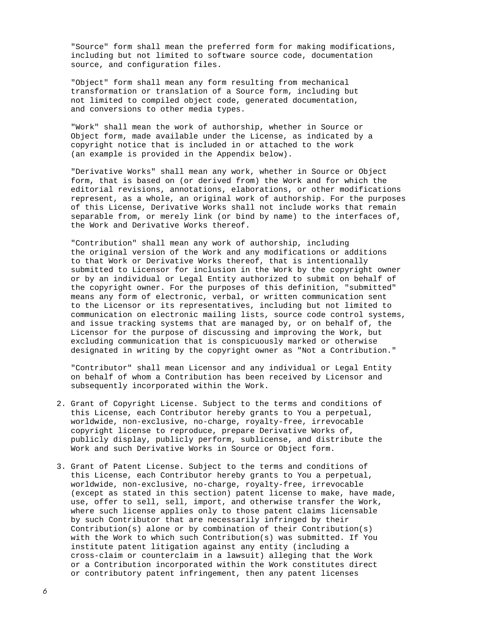"Source" form shall mean the preferred form for making modifications, including but not limited to software source code, documentation source, and configuration files.

 "Object" form shall mean any form resulting from mechanical transformation or translation of a Source form, including but not limited to compiled object code, generated documentation, and conversions to other media types.

 "Work" shall mean the work of authorship, whether in Source or Object form, made available under the License, as indicated by a copyright notice that is included in or attached to the work (an example is provided in the Appendix below).

 "Derivative Works" shall mean any work, whether in Source or Object form, that is based on (or derived from) the Work and for which the editorial revisions, annotations, elaborations, or other modifications represent, as a whole, an original work of authorship. For the purposes of this License, Derivative Works shall not include works that remain separable from, or merely link (or bind by name) to the interfaces of, the Work and Derivative Works thereof.

 "Contribution" shall mean any work of authorship, including the original version of the Work and any modifications or additions to that Work or Derivative Works thereof, that is intentionally submitted to Licensor for inclusion in the Work by the copyright owner or by an individual or Legal Entity authorized to submit on behalf of the copyright owner. For the purposes of this definition, "submitted" means any form of electronic, verbal, or written communication sent to the Licensor or its representatives, including but not limited to communication on electronic mailing lists, source code control systems, and issue tracking systems that are managed by, or on behalf of, the Licensor for the purpose of discussing and improving the Work, but excluding communication that is conspicuously marked or otherwise designated in writing by the copyright owner as "Not a Contribution."

 "Contributor" shall mean Licensor and any individual or Legal Entity on behalf of whom a Contribution has been received by Licensor and subsequently incorporated within the Work.

- 2. Grant of Copyright License. Subject to the terms and conditions of this License, each Contributor hereby grants to You a perpetual, worldwide, non-exclusive, no-charge, royalty-free, irrevocable copyright license to reproduce, prepare Derivative Works of, publicly display, publicly perform, sublicense, and distribute the Work and such Derivative Works in Source or Object form.
- 3. Grant of Patent License. Subject to the terms and conditions of this License, each Contributor hereby grants to You a perpetual, worldwide, non-exclusive, no-charge, royalty-free, irrevocable (except as stated in this section) patent license to make, have made, use, offer to sell, sell, import, and otherwise transfer the Work, where such license applies only to those patent claims licensable by such Contributor that are necessarily infringed by their Contribution(s) alone or by combination of their Contribution(s) with the Work to which such Contribution(s) was submitted. If You institute patent litigation against any entity (including a cross-claim or counterclaim in a lawsuit) alleging that the Work or a Contribution incorporated within the Work constitutes direct or contributory patent infringement, then any patent licenses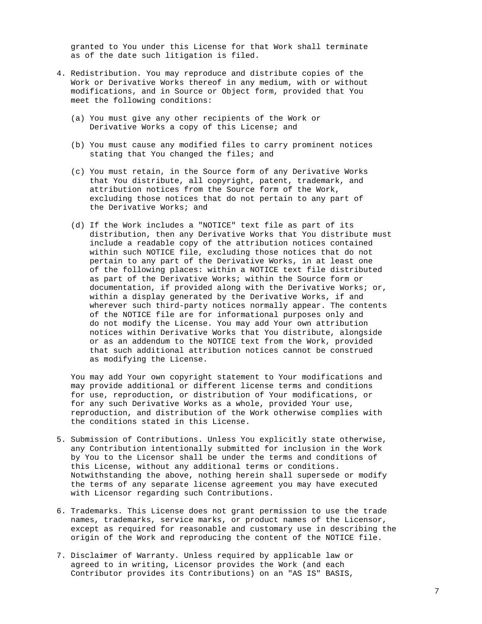granted to You under this License for that Work shall terminate as of the date such litigation is filed.

- 4. Redistribution. You may reproduce and distribute copies of the Work or Derivative Works thereof in any medium, with or without modifications, and in Source or Object form, provided that You meet the following conditions:
	- (a) You must give any other recipients of the Work or Derivative Works a copy of this License; and
	- (b) You must cause any modified files to carry prominent notices stating that You changed the files; and
	- (c) You must retain, in the Source form of any Derivative Works that You distribute, all copyright, patent, trademark, and attribution notices from the Source form of the Work, excluding those notices that do not pertain to any part of the Derivative Works; and
	- (d) If the Work includes a "NOTICE" text file as part of its distribution, then any Derivative Works that You distribute must include a readable copy of the attribution notices contained within such NOTICE file, excluding those notices that do not pertain to any part of the Derivative Works, in at least one of the following places: within a NOTICE text file distributed as part of the Derivative Works; within the Source form or documentation, if provided along with the Derivative Works; or, within a display generated by the Derivative Works, if and wherever such third-party notices normally appear. The contents of the NOTICE file are for informational purposes only and do not modify the License. You may add Your own attribution notices within Derivative Works that You distribute, alongside or as an addendum to the NOTICE text from the Work, provided that such additional attribution notices cannot be construed as modifying the License.

 You may add Your own copyright statement to Your modifications and may provide additional or different license terms and conditions for use, reproduction, or distribution of Your modifications, or for any such Derivative Works as a whole, provided Your use, reproduction, and distribution of the Work otherwise complies with the conditions stated in this License.

- 5. Submission of Contributions. Unless You explicitly state otherwise, any Contribution intentionally submitted for inclusion in the Work by You to the Licensor shall be under the terms and conditions of this License, without any additional terms or conditions. Notwithstanding the above, nothing herein shall supersede or modify the terms of any separate license agreement you may have executed with Licensor regarding such Contributions.
- 6. Trademarks. This License does not grant permission to use the trade names, trademarks, service marks, or product names of the Licensor, except as required for reasonable and customary use in describing the origin of the Work and reproducing the content of the NOTICE file.
- 7. Disclaimer of Warranty. Unless required by applicable law or agreed to in writing, Licensor provides the Work (and each Contributor provides its Contributions) on an "AS IS" BASIS,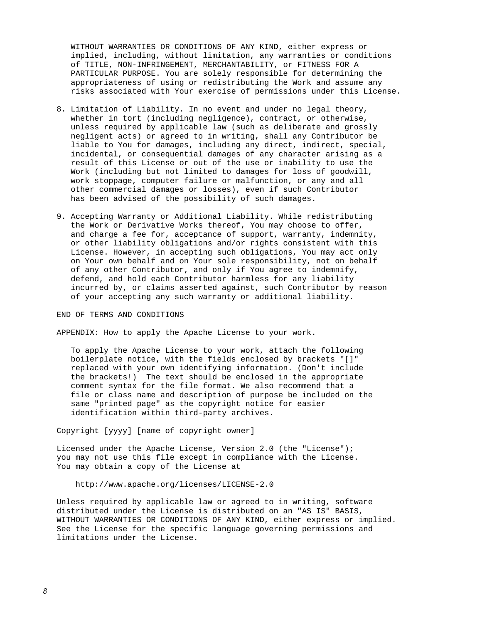WITHOUT WARRANTIES OR CONDITIONS OF ANY KIND, either express or implied, including, without limitation, any warranties or conditions of TITLE, NON-INFRINGEMENT, MERCHANTABILITY, or FITNESS FOR A PARTICULAR PURPOSE. You are solely responsible for determining the appropriateness of using or redistributing the Work and assume any risks associated with Your exercise of permissions under this License.

- 8. Limitation of Liability. In no event and under no legal theory, whether in tort (including negligence), contract, or otherwise, unless required by applicable law (such as deliberate and grossly negligent acts) or agreed to in writing, shall any Contributor be liable to You for damages, including any direct, indirect, special, incidental, or consequential damages of any character arising as a result of this License or out of the use or inability to use the Work (including but not limited to damages for loss of goodwill, work stoppage, computer failure or malfunction, or any and all other commercial damages or losses), even if such Contributor has been advised of the possibility of such damages.
- 9. Accepting Warranty or Additional Liability. While redistributing the Work or Derivative Works thereof, You may choose to offer, and charge a fee for, acceptance of support, warranty, indemnity, or other liability obligations and/or rights consistent with this License. However, in accepting such obligations, You may act only on Your own behalf and on Your sole responsibility, not on behalf of any other Contributor, and only if You agree to indemnify, defend, and hold each Contributor harmless for any liability incurred by, or claims asserted against, such Contributor by reason of your accepting any such warranty or additional liability.

END OF TERMS AND CONDITIONS

APPENDIX: How to apply the Apache License to your work.

 To apply the Apache License to your work, attach the following boilerplate notice, with the fields enclosed by brackets "[]" replaced with your own identifying information. (Don't include the brackets!) The text should be enclosed in the appropriate comment syntax for the file format. We also recommend that a file or class name and description of purpose be included on the same "printed page" as the copyright notice for easier identification within third-party archives.

Copyright [yyyy] [name of copyright owner]

 Licensed under the Apache License, Version 2.0 (the "License"); you may not use this file except in compliance with the License. You may obtain a copy of the License at

http://www.apache.org/licenses/LICENSE-2.0

 Unless required by applicable law or agreed to in writing, software distributed under the License is distributed on an "AS IS" BASIS, WITHOUT WARRANTIES OR CONDITIONS OF ANY KIND, either express or implied. See the License for the specific language governing permissions and limitations under the License.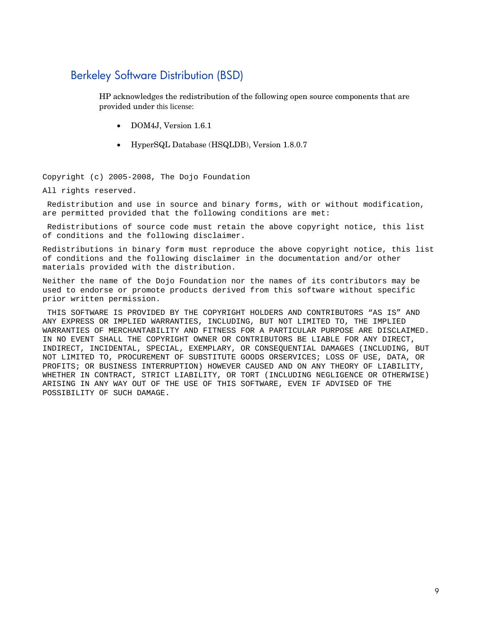## <span id="page-8-0"></span>Berkeley Software Distribution (BSD)

HP acknowledges the redistribution of the following open source components that are provided under this license:

- DOM4J, Version 1.6.1
- HyperSQL Database (HSQLDB), Version 1.8.0.7

Copyright (c) 2005-2008, The Dojo Foundation

All rights reserved.

Redistribution and use in source and binary forms, with or without modification, are permitted provided that the following conditions are met:

Redistributions of source code must retain the above copyright notice, this list of conditions and the following disclaimer.

Redistributions in binary form must reproduce the above copyright notice, this list of conditions and the following disclaimer in the documentation and/or other materials provided with the distribution.

Neither the name of the Dojo Foundation nor the names of its contributors may be used to endorse or promote products derived from this software without specific prior written permission.

THIS SOFTWARE IS PROVIDED BY THE COPYRIGHT HOLDERS AND CONTRIBUTORS "AS IS" AND ANY EXPRESS OR IMPLIED WARRANTIES, INCLUDING, BUT NOT LIMITED TO, THE IMPLIED WARRANTIES OF MERCHANTABILITY AND FITNESS FOR A PARTICULAR PURPOSE ARE DISCLAIMED. IN NO EVENT SHALL THE COPYRIGHT OWNER OR CONTRIBUTORS BE LIABLE FOR ANY DIRECT, INDIRECT, INCIDENTAL, SPECIAL, EXEMPLARY, OR CONSEQUENTIAL DAMAGES (INCLUDING, BUT NOT LIMITED TO, PROCUREMENT OF SUBSTITUTE GOODS ORSERVICES; LOSS OF USE, DATA, OR PROFITS; OR BUSINESS INTERRUPTION) HOWEVER CAUSED AND ON ANY THEORY OF LIABILITY, WHETHER IN CONTRACT, STRICT LIABILITY, OR TORT (INCLUDING NEGLIGENCE OR OTHERWISE) ARISING IN ANY WAY OUT OF THE USE OF THIS SOFTWARE, EVEN IF ADVISED OF THE POSSIBILITY OF SUCH DAMAGE.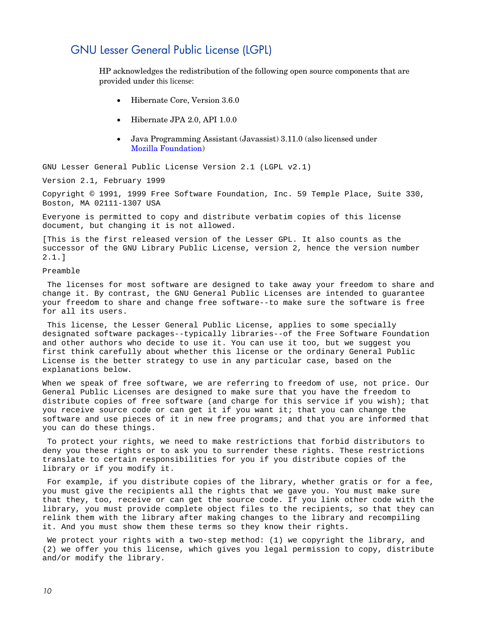## <span id="page-9-0"></span>GNU Lesser General Public License (LGPL)

HP acknowledges the redistribution of the following open source components that are provided under this license:

- Hibernate Core, Version 3.6.0
- Hibernate JPA 2.0, API 1.0.0
- Java Programming Assistant (Javassist) 3.11.0 (also licensed under Mozilla [Foundation\)](#page-16-0)

GNU Lesser General Public License Version 2.1 (LGPL v2.1)

Version 2.1, February 1999

Copyright © 1991, 1999 Free Software Foundation, Inc. 59 Temple Place, Suite 330, Boston, MA 02111-1307 USA

Everyone is permitted to copy and distribute verbatim copies of this license document, but changing it is not allowed.

[This is the first released version of the Lesser GPL. It also counts as the successor of the GNU Library Public License, version 2, hence the version number 2.1.]

Preamble

The licenses for most software are designed to take away your freedom to share and change it. By contrast, the GNU General Public Licenses are intended to guarantee your freedom to share and change free software--to make sure the software is free for all its users.

This license, the Lesser General Public License, applies to some specially designated software packages--typically libraries--of the Free Software Foundation and other authors who decide to use it. You can use it too, but we suggest you first think carefully about whether this license or the ordinary General Public License is the better strategy to use in any particular case, based on the explanations below.

When we speak of free software, we are referring to freedom of use, not price. Our General Public Licenses are designed to make sure that you have the freedom to distribute copies of free software (and charge for this service if you wish); that you receive source code or can get it if you want it; that you can change the software and use pieces of it in new free programs; and that you are informed that you can do these things.

To protect your rights, we need to make restrictions that forbid distributors to deny you these rights or to ask you to surrender these rights. These restrictions translate to certain responsibilities for you if you distribute copies of the library or if you modify it.

For example, if you distribute copies of the library, whether gratis or for a fee, you must give the recipients all the rights that we gave you. You must make sure that they, too, receive or can get the source code. If you link other code with the library, you must provide complete object files to the recipients, so that they can relink them with the library after making changes to the library and recompiling it. And you must show them these terms so they know their rights.

We protect your rights with a two-step method: (1) we copyright the library, and (2) we offer you this license, which gives you legal permission to copy, distribute and/or modify the library.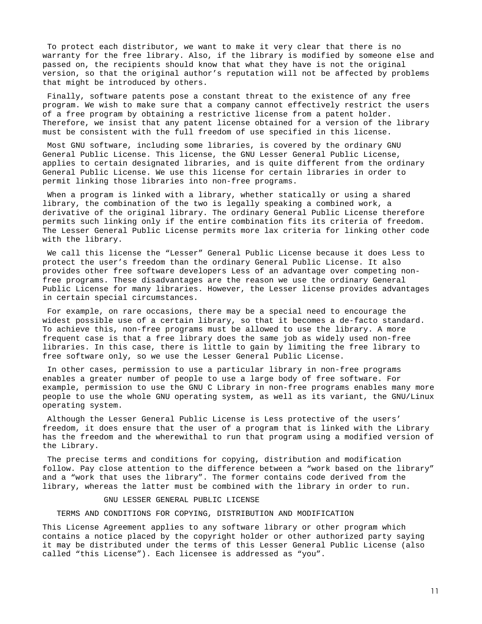To protect each distributor, we want to make it very clear that there is no warranty for the free library. Also, if the library is modified by someone else and passed on, the recipients should know that what they have is not the original version, so that the original author's reputation will not be affected by problems that might be introduced by others.

Finally, software patents pose a constant threat to the existence of any free program. We wish to make sure that a company cannot effectively restrict the users of a free program by obtaining a restrictive license from a patent holder. Therefore, we insist that any patent license obtained for a version of the library must be consistent with the full freedom of use specified in this license.

Most GNU software, including some libraries, is covered by the ordinary GNU General Public License. This license, the GNU Lesser General Public License, applies to certain designated libraries, and is quite different from the ordinary General Public License. We use this license for certain libraries in order to permit linking those libraries into non-free programs.

When a program is linked with a library, whether statically or using a shared library, the combination of the two is legally speaking a combined work, a derivative of the original library. The ordinary General Public License therefore permits such linking only if the entire combination fits its criteria of freedom. The Lesser General Public License permits more lax criteria for linking other code with the library.

We call this license the "Lesser" General Public License because it does Less to protect the user's freedom than the ordinary General Public License. It also provides other free software developers Less of an advantage over competing nonfree programs. These disadvantages are the reason we use the ordinary General Public License for many libraries. However, the Lesser license provides advantages in certain special circumstances.

For example, on rare occasions, there may be a special need to encourage the widest possible use of a certain library, so that it becomes a de-facto standard. To achieve this, non-free programs must be allowed to use the library. A more frequent case is that a free library does the same job as widely used non-free libraries. In this case, there is little to gain by limiting the free library to free software only, so we use the Lesser General Public License.

In other cases, permission to use a particular library in non-free programs enables a greater number of people to use a large body of free software. For example, permission to use the GNU C Library in non-free programs enables many more people to use the whole GNU operating system, as well as its variant, the GNU/Linux operating system.

Although the Lesser General Public License is Less protective of the users' freedom, it does ensure that the user of a program that is linked with the Library has the freedom and the wherewithal to run that program using a modified version of the Library.

The precise terms and conditions for copying, distribution and modification follow. Pay close attention to the difference between a "work based on the library" and a "work that uses the library". The former contains code derived from the library, whereas the latter must be combined with the library in order to run.

GNU LESSER GENERAL PUBLIC LICENSE

TERMS AND CONDITIONS FOR COPYING, DISTRIBUTION AND MODIFICATION

This License Agreement applies to any software library or other program which contains a notice placed by the copyright holder or other authorized party saying it may be distributed under the terms of this Lesser General Public License (also called "this License"). Each licensee is addressed as "you".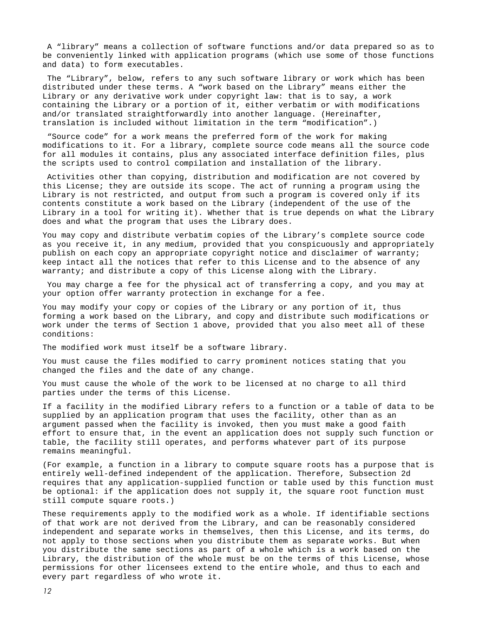A "library" means a collection of software functions and/or data prepared so as to be conveniently linked with application programs (which use some of those functions and data) to form executables.

The "Library", below, refers to any such software library or work which has been distributed under these terms. A "work based on the Library" means either the Library or any derivative work under copyright law: that is to say, a work containing the Library or a portion of it, either verbatim or with modifications and/or translated straightforwardly into another language. (Hereinafter, translation is included without limitation in the term "modification".)

"Source code" for a work means the preferred form of the work for making modifications to it. For a library, complete source code means all the source code for all modules it contains, plus any associated interface definition files, plus the scripts used to control compilation and installation of the library.

Activities other than copying, distribution and modification are not covered by this License; they are outside its scope. The act of running a program using the Library is not restricted, and output from such a program is covered only if its contents constitute a work based on the Library (independent of the use of the Library in a tool for writing it). Whether that is true depends on what the Library does and what the program that uses the Library does.

You may copy and distribute verbatim copies of the Library's complete source code as you receive it, in any medium, provided that you conspicuously and appropriately publish on each copy an appropriate copyright notice and disclaimer of warranty; keep intact all the notices that refer to this License and to the absence of any warranty; and distribute a copy of this License along with the Library.

You may charge a fee for the physical act of transferring a copy, and you may at your option offer warranty protection in exchange for a fee.

You may modify your copy or copies of the Library or any portion of it, thus forming a work based on the Library, and copy and distribute such modifications or work under the terms of Section 1 above, provided that you also meet all of these conditions:

The modified work must itself be a software library.

You must cause the files modified to carry prominent notices stating that you changed the files and the date of any change.

You must cause the whole of the work to be licensed at no charge to all third parties under the terms of this License.

If a facility in the modified Library refers to a function or a table of data to be supplied by an application program that uses the facility, other than as an argument passed when the facility is invoked, then you must make a good faith effort to ensure that, in the event an application does not supply such function or table, the facility still operates, and performs whatever part of its purpose remains meaningful.

(For example, a function in a library to compute square roots has a purpose that is entirely well-defined independent of the application. Therefore, Subsection 2d requires that any application-supplied function or table used by this function must be optional: if the application does not supply it, the square root function must still compute square roots.)

These requirements apply to the modified work as a whole. If identifiable sections of that work are not derived from the Library, and can be reasonably considered independent and separate works in themselves, then this License, and its terms, do not apply to those sections when you distribute them as separate works. But when you distribute the same sections as part of a whole which is a work based on the Library, the distribution of the whole must be on the terms of this License, whose permissions for other licensees extend to the entire whole, and thus to each and every part regardless of who wrote it.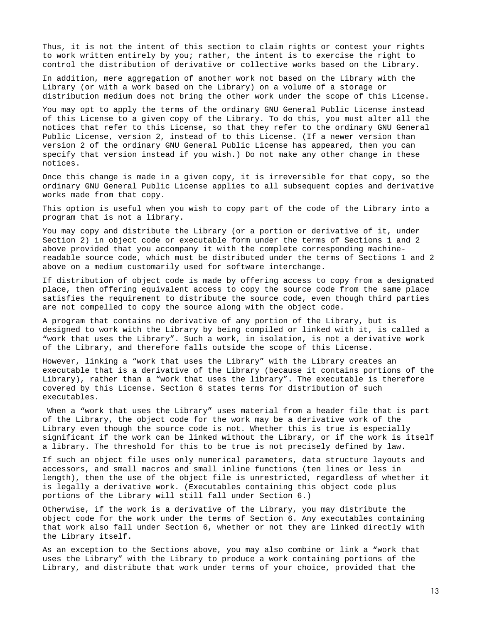Thus, it is not the intent of this section to claim rights or contest your rights to work written entirely by you; rather, the intent is to exercise the right to control the distribution of derivative or collective works based on the Library.

In addition, mere aggregation of another work not based on the Library with the Library (or with a work based on the Library) on a volume of a storage or distribution medium does not bring the other work under the scope of this License.

You may opt to apply the terms of the ordinary GNU General Public License instead of this License to a given copy of the Library. To do this, you must alter all the notices that refer to this License, so that they refer to the ordinary GNU General Public License, version 2, instead of to this License. (If a newer version than version 2 of the ordinary GNU General Public License has appeared, then you can specify that version instead if you wish.) Do not make any other change in these notices.

Once this change is made in a given copy, it is irreversible for that copy, so the ordinary GNU General Public License applies to all subsequent copies and derivative works made from that copy.

This option is useful when you wish to copy part of the code of the Library into a program that is not a library.

You may copy and distribute the Library (or a portion or derivative of it, under Section 2) in object code or executable form under the terms of Sections 1 and 2 above provided that you accompany it with the complete corresponding machinereadable source code, which must be distributed under the terms of Sections 1 and 2 above on a medium customarily used for software interchange.

If distribution of object code is made by offering access to copy from a designated place, then offering equivalent access to copy the source code from the same place satisfies the requirement to distribute the source code, even though third parties are not compelled to copy the source along with the object code.

A program that contains no derivative of any portion of the Library, but is designed to work with the Library by being compiled or linked with it, is called a "work that uses the Library". Such a work, in isolation, is not a derivative work of the Library, and therefore falls outside the scope of this License.

However, linking a "work that uses the Library" with the Library creates an executable that is a derivative of the Library (because it contains portions of the Library), rather than a "work that uses the library". The executable is therefore covered by this License. Section 6 states terms for distribution of such executables.

When a "work that uses the Library" uses material from a header file that is part of the Library, the object code for the work may be a derivative work of the Library even though the source code is not. Whether this is true is especially significant if the work can be linked without the Library, or if the work is itself a library. The threshold for this to be true is not precisely defined by law.

If such an object file uses only numerical parameters, data structure layouts and accessors, and small macros and small inline functions (ten lines or less in length), then the use of the object file is unrestricted, regardless of whether it is legally a derivative work. (Executables containing this object code plus portions of the Library will still fall under Section 6.)

Otherwise, if the work is a derivative of the Library, you may distribute the object code for the work under the terms of Section 6. Any executables containing that work also fall under Section 6, whether or not they are linked directly with the Library itself.

As an exception to the Sections above, you may also combine or link a "work that uses the Library" with the Library to produce a work containing portions of the Library, and distribute that work under terms of your choice, provided that the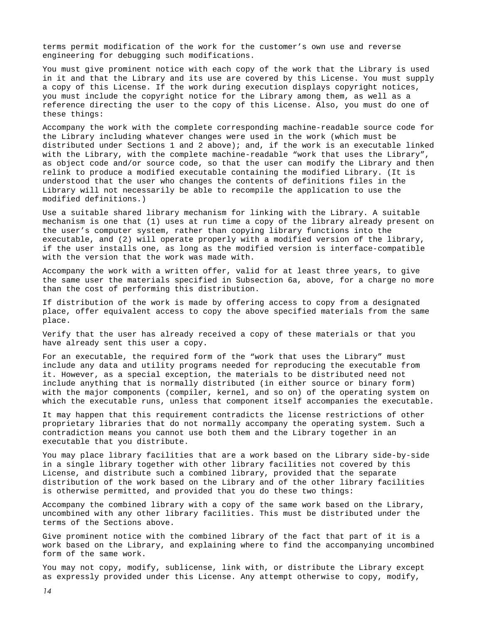terms permit modification of the work for the customer's own use and reverse engineering for debugging such modifications.

You must give prominent notice with each copy of the work that the Library is used in it and that the Library and its use are covered by this License. You must supply a copy of this License. If the work during execution displays copyright notices, you must include the copyright notice for the Library among them, as well as a reference directing the user to the copy of this License. Also, you must do one of these things:

Accompany the work with the complete corresponding machine-readable source code for the Library including whatever changes were used in the work (which must be distributed under Sections 1 and 2 above); and, if the work is an executable linked with the Library, with the complete machine-readable "work that uses the Library", as object code and/or source code, so that the user can modify the Library and then relink to produce a modified executable containing the modified Library. (It is understood that the user who changes the contents of definitions files in the Library will not necessarily be able to recompile the application to use the modified definitions.)

Use a suitable shared library mechanism for linking with the Library. A suitable mechanism is one that (1) uses at run time a copy of the library already present on the user's computer system, rather than copying library functions into the executable, and (2) will operate properly with a modified version of the library, if the user installs one, as long as the modified version is interface-compatible with the version that the work was made with.

Accompany the work with a written offer, valid for at least three years, to give the same user the materials specified in Subsection 6a, above, for a charge no more than the cost of performing this distribution.

If distribution of the work is made by offering access to copy from a designated place, offer equivalent access to copy the above specified materials from the same place.

Verify that the user has already received a copy of these materials or that you have already sent this user a copy.

For an executable, the required form of the "work that uses the Library" must include any data and utility programs needed for reproducing the executable from it. However, as a special exception, the materials to be distributed need not include anything that is normally distributed (in either source or binary form) with the major components (compiler, kernel, and so on) of the operating system on which the executable runs, unless that component itself accompanies the executable.

It may happen that this requirement contradicts the license restrictions of other proprietary libraries that do not normally accompany the operating system. Such a contradiction means you cannot use both them and the Library together in an executable that you distribute.

You may place library facilities that are a work based on the Library side-by-side in a single library together with other library facilities not covered by this License, and distribute such a combined library, provided that the separate distribution of the work based on the Library and of the other library facilities is otherwise permitted, and provided that you do these two things:

Accompany the combined library with a copy of the same work based on the Library, uncombined with any other library facilities. This must be distributed under the terms of the Sections above.

Give prominent notice with the combined library of the fact that part of it is a work based on the Library, and explaining where to find the accompanying uncombined form of the same work.

You may not copy, modify, sublicense, link with, or distribute the Library except as expressly provided under this License. Any attempt otherwise to copy, modify,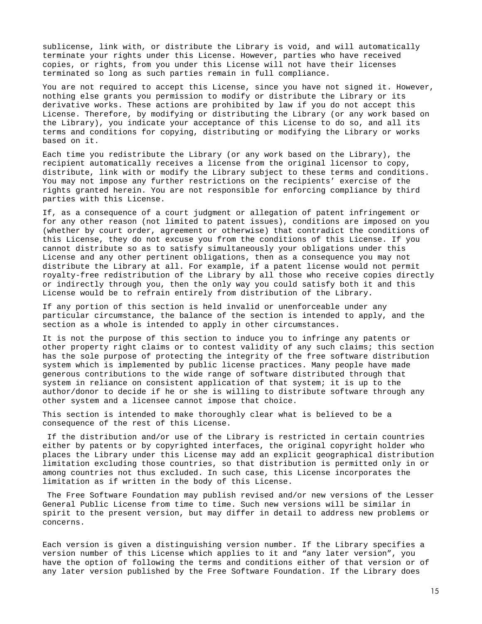sublicense, link with, or distribute the Library is void, and will automatically terminate your rights under this License. However, parties who have received copies, or rights, from you under this License will not have their licenses terminated so long as such parties remain in full compliance.

You are not required to accept this License, since you have not signed it. However, nothing else grants you permission to modify or distribute the Library or its derivative works. These actions are prohibited by law if you do not accept this License. Therefore, by modifying or distributing the Library (or any work based on the Library), you indicate your acceptance of this License to do so, and all its terms and conditions for copying, distributing or modifying the Library or works based on it.

Each time you redistribute the Library (or any work based on the Library), the recipient automatically receives a license from the original licensor to copy, distribute, link with or modify the Library subject to these terms and conditions. You may not impose any further restrictions on the recipients' exercise of the rights granted herein. You are not responsible for enforcing compliance by third parties with this License.

If, as a consequence of a court judgment or allegation of patent infringement or for any other reason (not limited to patent issues), conditions are imposed on you (whether by court order, agreement or otherwise) that contradict the conditions of this License, they do not excuse you from the conditions of this License. If you cannot distribute so as to satisfy simultaneously your obligations under this License and any other pertinent obligations, then as a consequence you may not distribute the Library at all. For example, if a patent license would not permit royalty-free redistribution of the Library by all those who receive copies directly or indirectly through you, then the only way you could satisfy both it and this License would be to refrain entirely from distribution of the Library.

If any portion of this section is held invalid or unenforceable under any particular circumstance, the balance of the section is intended to apply, and the section as a whole is intended to apply in other circumstances.

It is not the purpose of this section to induce you to infringe any patents or other property right claims or to contest validity of any such claims; this section has the sole purpose of protecting the integrity of the free software distribution system which is implemented by public license practices. Many people have made generous contributions to the wide range of software distributed through that system in reliance on consistent application of that system; it is up to the author/donor to decide if he or she is willing to distribute software through any other system and a licensee cannot impose that choice.

This section is intended to make thoroughly clear what is believed to be a consequence of the rest of this License.

If the distribution and/or use of the Library is restricted in certain countries either by patents or by copyrighted interfaces, the original copyright holder who places the Library under this License may add an explicit geographical distribution limitation excluding those countries, so that distribution is permitted only in or among countries not thus excluded. In such case, this License incorporates the limitation as if written in the body of this License.

The Free Software Foundation may publish revised and/or new versions of the Lesser General Public License from time to time. Such new versions will be similar in spirit to the present version, but may differ in detail to address new problems or concerns.

Each version is given a distinguishing version number. If the Library specifies a version number of this License which applies to it and "any later version", you have the option of following the terms and conditions either of that version or of any later version published by the Free Software Foundation. If the Library does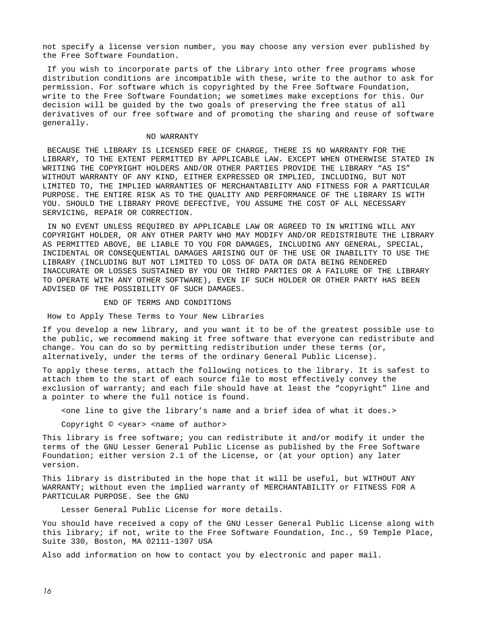not specify a license version number, you may choose any version ever published by the Free Software Foundation.

If you wish to incorporate parts of the Library into other free programs whose distribution conditions are incompatible with these, write to the author to ask for permission. For software which is copyrighted by the Free Software Foundation, write to the Free Software Foundation; we sometimes make exceptions for this. Our decision will be guided by the two goals of preserving the free status of all derivatives of our free software and of promoting the sharing and reuse of software generally.

#### NO WARRANTY

BECAUSE THE LIBRARY IS LICENSED FREE OF CHARGE, THERE IS NO WARRANTY FOR THE LIBRARY, TO THE EXTENT PERMITTED BY APPLICABLE LAW. EXCEPT WHEN OTHERWISE STATED IN WRITING THE COPYRIGHT HOLDERS AND/OR OTHER PARTIES PROVIDE THE LIBRARY "AS IS" WITHOUT WARRANTY OF ANY KIND, EITHER EXPRESSED OR IMPLIED, INCLUDING, BUT NOT LIMITED TO, THE IMPLIED WARRANTIES OF MERCHANTABILITY AND FITNESS FOR A PARTICULAR PURPOSE. THE ENTIRE RISK AS TO THE QUALITY AND PERFORMANCE OF THE LIBRARY IS WITH YOU. SHOULD THE LIBRARY PROVE DEFECTIVE, YOU ASSUME THE COST OF ALL NECESSARY SERVICING, REPAIR OR CORRECTION.

IN NO EVENT UNLESS REQUIRED BY APPLICABLE LAW OR AGREED TO IN WRITING WILL ANY COPYRIGHT HOLDER, OR ANY OTHER PARTY WHO MAY MODIFY AND/OR REDISTRIBUTE THE LIBRARY AS PERMITTED ABOVE, BE LIABLE TO YOU FOR DAMAGES, INCLUDING ANY GENERAL, SPECIAL, INCIDENTAL OR CONSEQUENTIAL DAMAGES ARISING OUT OF THE USE OR INABILITY TO USE THE LIBRARY (INCLUDING BUT NOT LIMITED TO LOSS OF DATA OR DATA BEING RENDERED INACCURATE OR LOSSES SUSTAINED BY YOU OR THIRD PARTIES OR A FAILURE OF THE LIBRARY TO OPERATE WITH ANY OTHER SOFTWARE), EVEN IF SUCH HOLDER OR OTHER PARTY HAS BEEN ADVISED OF THE POSSIBILITY OF SUCH DAMAGES.

#### END OF TERMS AND CONDITIONS

How to Apply These Terms to Your New Libraries

If you develop a new library, and you want it to be of the greatest possible use to the public, we recommend making it free software that everyone can redistribute and change. You can do so by permitting redistribution under these terms (or, alternatively, under the terms of the ordinary General Public License).

To apply these terms, attach the following notices to the library. It is safest to attach them to the start of each source file to most effectively convey the exclusion of warranty; and each file should have at least the "copyright" line and a pointer to where the full notice is found.

<one line to give the library's name and a brief idea of what it does.>

Copyright © <year> <name of author>

This library is free software; you can redistribute it and/or modify it under the terms of the GNU Lesser General Public License as published by the Free Software Foundation; either version 2.1 of the License, or (at your option) any later version.

This library is distributed in the hope that it will be useful, but WITHOUT ANY WARRANTY; without even the implied warranty of MERCHANTABILITY or FITNESS FOR A PARTICULAR PURPOSE. See the GNU

Lesser General Public License for more details.

You should have received a copy of the GNU Lesser General Public License along with this library; if not, write to the Free Software Foundation, Inc., 59 Temple Place, Suite 330, Boston, MA 02111-1307 USA

Also add information on how to contact you by electronic and paper mail.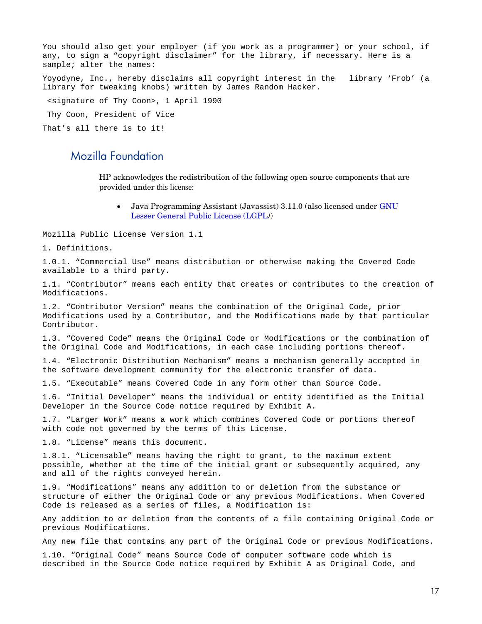You should also get your employer (if you work as a programmer) or your school, if any, to sign a "copyright disclaimer" for the library, if necessary. Here is a sample; alter the names: Yoyodyne, Inc., hereby disclaims all copyright interest in the library 'Frob' (a library for tweaking knobs) written by James Random Hacker. <signature of Thy Coon>, 1 April 1990 Thy Coon, President of Vice That's all there is to it!

## <span id="page-16-0"></span>Mozilla Foundation

HP acknowledges the redistribution of the following open source components that are provided under this license:

• Java Programming Assistant (Javassist) 3.11.0 (also licensed under [GNU](#page-9-0)  [Lesser General Public License \(LGPL](#page-9-0)*)*)

Mozilla Public License Version 1.1

1. Definitions.

1.0.1. "Commercial Use" means distribution or otherwise making the Covered Code available to a third party.

1.1. "Contributor" means each entity that creates or contributes to the creation of Modifications.

1.2. "Contributor Version" means the combination of the Original Code, prior Modifications used by a Contributor, and the Modifications made by that particular Contributor.

1.3. "Covered Code" means the Original Code or Modifications or the combination of the Original Code and Modifications, in each case including portions thereof.

1.4. "Electronic Distribution Mechanism" means a mechanism generally accepted in the software development community for the electronic transfer of data.

1.5. "Executable" means Covered Code in any form other than Source Code.

1.6. "Initial Developer" means the individual or entity identified as the Initial Developer in the Source Code notice required by Exhibit A.

1.7. "Larger Work" means a work which combines Covered Code or portions thereof with code not governed by the terms of this License.

1.8. "License" means this document.

1.8.1. "Licensable" means having the right to grant, to the maximum extent possible, whether at the time of the initial grant or subsequently acquired, any and all of the rights conveyed herein.

1.9. "Modifications" means any addition to or deletion from the substance or structure of either the Original Code or any previous Modifications. When Covered Code is released as a series of files, a Modification is:

Any addition to or deletion from the contents of a file containing Original Code or previous Modifications.

Any new file that contains any part of the Original Code or previous Modifications.

1.10. "Original Code" means Source Code of computer software code which is described in the Source Code notice required by Exhibit A as Original Code, and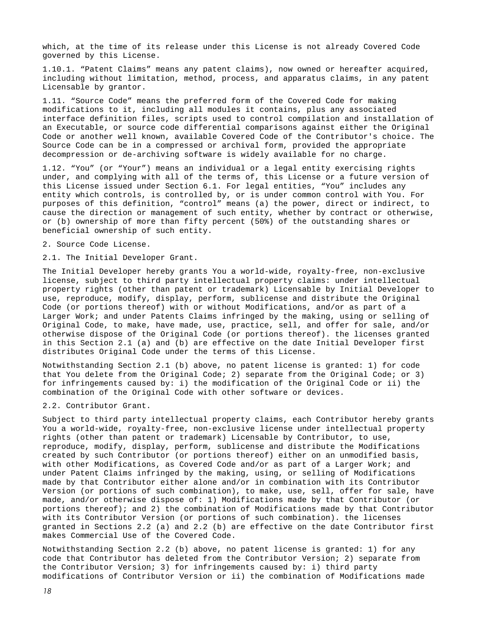which, at the time of its release under this License is not already Covered Code governed by this License.

1.10.1. "Patent Claims" means any patent claims), now owned or hereafter acquired, including without limitation, method, process, and apparatus claims, in any patent Licensable by grantor.

1.11. "Source Code" means the preferred form of the Covered Code for making modifications to it, including all modules it contains, plus any associated interface definition files, scripts used to control compilation and installation of an Executable, or source code differential comparisons against either the Original Code or another well known, available Covered Code of the Contributor's choice. The Source Code can be in a compressed or archival form, provided the appropriate decompression or de-archiving software is widely available for no charge.

1.12. "You" (or "Your") means an individual or a legal entity exercising rights under, and complying with all of the terms of, this License or a future version of this License issued under Section 6.1. For legal entities, "You" includes any entity which controls, is controlled by, or is under common control with You. For purposes of this definition, "control" means (a) the power, direct or indirect, to cause the direction or management of such entity, whether by contract or otherwise, or (b) ownership of more than fifty percent (50%) of the outstanding shares or beneficial ownership of such entity.

2. Source Code License.

2.1. The Initial Developer Grant.

The Initial Developer hereby grants You a world-wide, royalty-free, non-exclusive license, subject to third party intellectual property claims: under intellectual property rights (other than patent or trademark) Licensable by Initial Developer to use, reproduce, modify, display, perform, sublicense and distribute the Original Code (or portions thereof) with or without Modifications, and/or as part of a Larger Work; and under Patents Claims infringed by the making, using or selling of Original Code, to make, have made, use, practice, sell, and offer for sale, and/or otherwise dispose of the Original Code (or portions thereof). the licenses granted in this Section 2.1 (a) and (b) are effective on the date Initial Developer first distributes Original Code under the terms of this License.

Notwithstanding Section 2.1 (b) above, no patent license is granted: 1) for code that You delete from the Original Code; 2) separate from the Original Code; or 3) for infringements caused by: i) the modification of the Original Code or ii) the combination of the Original Code with other software or devices.

2.2. Contributor Grant.

Subject to third party intellectual property claims, each Contributor hereby grants You a world-wide, royalty-free, non-exclusive license under intellectual property rights (other than patent or trademark) Licensable by Contributor, to use, reproduce, modify, display, perform, sublicense and distribute the Modifications created by such Contributor (or portions thereof) either on an unmodified basis, with other Modifications, as Covered Code and/or as part of a Larger Work; and under Patent Claims infringed by the making, using, or selling of Modifications made by that Contributor either alone and/or in combination with its Contributor Version (or portions of such combination), to make, use, sell, offer for sale, have made, and/or otherwise dispose of: 1) Modifications made by that Contributor (or portions thereof); and 2) the combination of Modifications made by that Contributor with its Contributor Version (or portions of such combination). the licenses granted in Sections 2.2 (a) and 2.2 (b) are effective on the date Contributor first makes Commercial Use of the Covered Code.

Notwithstanding Section 2.2 (b) above, no patent license is granted: 1) for any code that Contributor has deleted from the Contributor Version; 2) separate from the Contributor Version; 3) for infringements caused by: i) third party modifications of Contributor Version or ii) the combination of Modifications made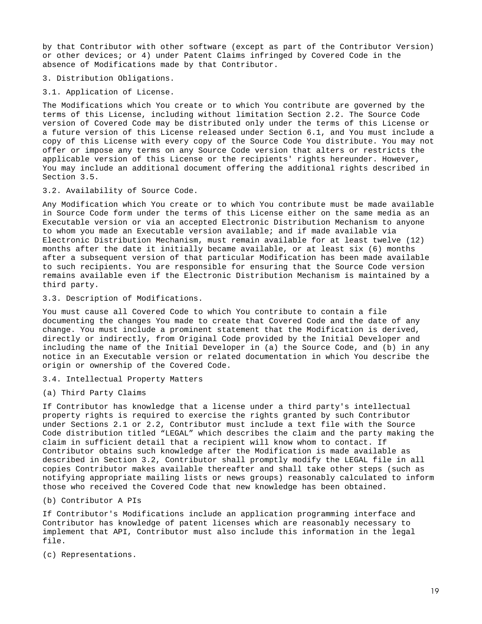by that Contributor with other software (except as part of the Contributor Version) or other devices; or 4) under Patent Claims infringed by Covered Code in the absence of Modifications made by that Contributor.

3. Distribution Obligations.

3.1. Application of License.

The Modifications which You create or to which You contribute are governed by the terms of this License, including without limitation Section 2.2. The Source Code version of Covered Code may be distributed only under the terms of this License or a future version of this License released under Section 6.1, and You must include a copy of this License with every copy of the Source Code You distribute. You may not offer or impose any terms on any Source Code version that alters or restricts the applicable version of this License or the recipients' rights hereunder. However, You may include an additional document offering the additional rights described in Section 3.5.

3.2. Availability of Source Code.

Any Modification which You create or to which You contribute must be made available in Source Code form under the terms of this License either on the same media as an Executable version or via an accepted Electronic Distribution Mechanism to anyone to whom you made an Executable version available; and if made available via Electronic Distribution Mechanism, must remain available for at least twelve (12) months after the date it initially became available, or at least six (6) months after a subsequent version of that particular Modification has been made available to such recipients. You are responsible for ensuring that the Source Code version remains available even if the Electronic Distribution Mechanism is maintained by a third party.

3.3. Description of Modifications.

You must cause all Covered Code to which You contribute to contain a file documenting the changes You made to create that Covered Code and the date of any change. You must include a prominent statement that the Modification is derived, directly or indirectly, from Original Code provided by the Initial Developer and including the name of the Initial Developer in (a) the Source Code, and (b) in any notice in an Executable version or related documentation in which You describe the origin or ownership of the Covered Code.

3.4. Intellectual Property Matters

(a) Third Party Claims

If Contributor has knowledge that a license under a third party's intellectual property rights is required to exercise the rights granted by such Contributor under Sections 2.1 or 2.2, Contributor must include a text file with the Source Code distribution titled "LEGAL" which describes the claim and the party making the claim in sufficient detail that a recipient will know whom to contact. If Contributor obtains such knowledge after the Modification is made available as described in Section 3.2, Contributor shall promptly modify the LEGAL file in all copies Contributor makes available thereafter and shall take other steps (such as notifying appropriate mailing lists or news groups) reasonably calculated to inform those who received the Covered Code that new knowledge has been obtained.

(b) Contributor A PIs

If Contributor's Modifications include an application programming interface and Contributor has knowledge of patent licenses which are reasonably necessary to implement that API, Contributor must also include this information in the legal file.

(c) Representations.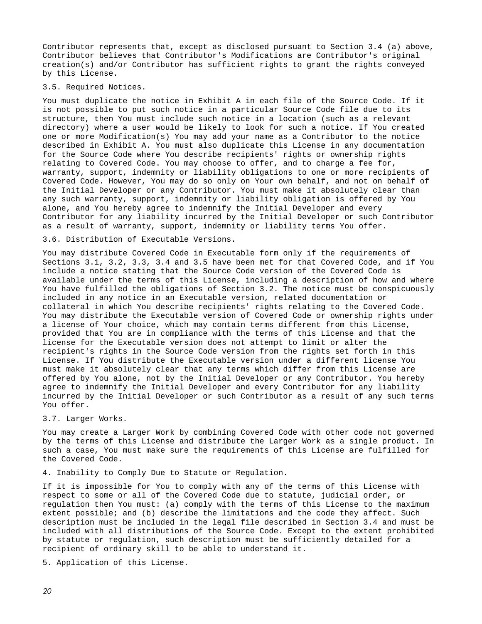Contributor represents that, except as disclosed pursuant to Section 3.4 (a) above, Contributor believes that Contributor's Modifications are Contributor's original creation(s) and/or Contributor has sufficient rights to grant the rights conveyed by this License.

#### 3.5. Required Notices.

You must duplicate the notice in Exhibit A in each file of the Source Code. If it is not possible to put such notice in a particular Source Code file due to its structure, then You must include such notice in a location (such as a relevant directory) where a user would be likely to look for such a notice. If You created one or more Modification(s) You may add your name as a Contributor to the notice described in Exhibit A. You must also duplicate this License in any documentation for the Source Code where You describe recipients' rights or ownership rights relating to Covered Code. You may choose to offer, and to charge a fee for, warranty, support, indemnity or liability obligations to one or more recipients of Covered Code. However, You may do so only on Your own behalf, and not on behalf of the Initial Developer or any Contributor. You must make it absolutely clear than any such warranty, support, indemnity or liability obligation is offered by You alone, and You hereby agree to indemnify the Initial Developer and every Contributor for any liability incurred by the Initial Developer or such Contributor as a result of warranty, support, indemnity or liability terms You offer.

3.6. Distribution of Executable Versions.

You may distribute Covered Code in Executable form only if the requirements of Sections 3.1, 3.2, 3.3, 3.4 and 3.5 have been met for that Covered Code, and if You include a notice stating that the Source Code version of the Covered Code is available under the terms of this License, including a description of how and where You have fulfilled the obligations of Section 3.2. The notice must be conspicuously included in any notice in an Executable version, related documentation or collateral in which You describe recipients' rights relating to the Covered Code. You may distribute the Executable version of Covered Code or ownership rights under a license of Your choice, which may contain terms different from this License, provided that You are in compliance with the terms of this License and that the license for the Executable version does not attempt to limit or alter the recipient's rights in the Source Code version from the rights set forth in this License. If You distribute the Executable version under a different license You must make it absolutely clear that any terms which differ from this License are offered by You alone, not by the Initial Developer or any Contributor. You hereby agree to indemnify the Initial Developer and every Contributor for any liability incurred by the Initial Developer or such Contributor as a result of any such terms You offer.

#### 3.7. Larger Works.

You may create a Larger Work by combining Covered Code with other code not governed by the terms of this License and distribute the Larger Work as a single product. In such a case, You must make sure the requirements of this License are fulfilled for the Covered Code.

4. Inability to Comply Due to Statute or Regulation.

If it is impossible for You to comply with any of the terms of this License with respect to some or all of the Covered Code due to statute, judicial order, or regulation then You must: (a) comply with the terms of this License to the maximum extent possible; and (b) describe the limitations and the code they affect. Such description must be included in the legal file described in Section 3.4 and must be included with all distributions of the Source Code. Except to the extent prohibited by statute or regulation, such description must be sufficiently detailed for a recipient of ordinary skill to be able to understand it.

5. Application of this License.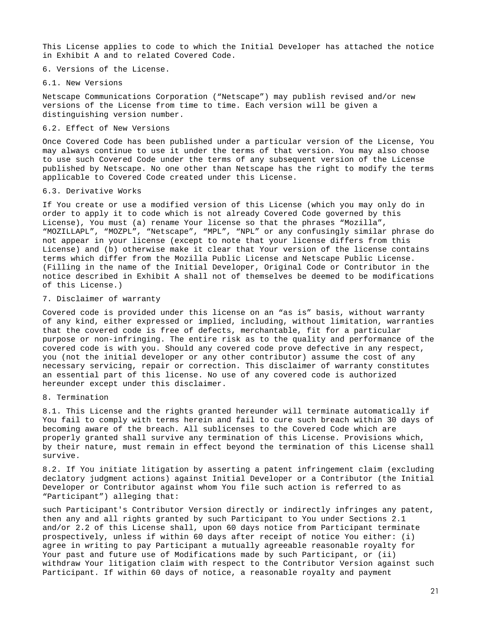This License applies to code to which the Initial Developer has attached the notice in Exhibit A and to related Covered Code.

6. Versions of the License.

6.1. New Versions

Netscape Communications Corporation ("Netscape") may publish revised and/or new versions of the License from time to time. Each version will be given a distinguishing version number.

#### 6.2. Effect of New Versions

Once Covered Code has been published under a particular version of the License, You may always continue to use it under the terms of that version. You may also choose to use such Covered Code under the terms of any subsequent version of the License published by Netscape. No one other than Netscape has the right to modify the terms applicable to Covered Code created under this License.

#### 6.3. Derivative Works

If You create or use a modified version of this License (which you may only do in order to apply it to code which is not already Covered Code governed by this License), You must (a) rename Your license so that the phrases "Mozilla", "MOZILLAPL", "MOZPL", "Netscape", "MPL", "NPL" or any confusingly similar phrase do not appear in your license (except to note that your license differs from this License) and (b) otherwise make it clear that Your version of the license contains terms which differ from the Mozilla Public License and Netscape Public License. (Filling in the name of the Initial Developer, Original Code or Contributor in the notice described in Exhibit A shall not of themselves be deemed to be modifications of this License.)

#### 7. Disclaimer of warranty

Covered code is provided under this license on an "as is" basis, without warranty of any kind, either expressed or implied, including, without limitation, warranties that the covered code is free of defects, merchantable, fit for a particular purpose or non-infringing. The entire risk as to the quality and performance of the covered code is with you. Should any covered code prove defective in any respect, you (not the initial developer or any other contributor) assume the cost of any necessary servicing, repair or correction. This disclaimer of warranty constitutes an essential part of this license. No use of any covered code is authorized hereunder except under this disclaimer.

#### 8. Termination

8.1. This License and the rights granted hereunder will terminate automatically if You fail to comply with terms herein and fail to cure such breach within 30 days of becoming aware of the breach. All sublicenses to the Covered Code which are properly granted shall survive any termination of this License. Provisions which, by their nature, must remain in effect beyond the termination of this License shall survive.

8.2. If You initiate litigation by asserting a patent infringement claim (excluding declatory judgment actions) against Initial Developer or a Contributor (the Initial Developer or Contributor against whom You file such action is referred to as "Participant") alleging that:

such Participant's Contributor Version directly or indirectly infringes any patent, then any and all rights granted by such Participant to You under Sections 2.1 and/or 2.2 of this License shall, upon 60 days notice from Participant terminate prospectively, unless if within 60 days after receipt of notice You either: (i) agree in writing to pay Participant a mutually agreeable reasonable royalty for Your past and future use of Modifications made by such Participant, or (ii) withdraw Your litigation claim with respect to the Contributor Version against such Participant. If within 60 days of notice, a reasonable royalty and payment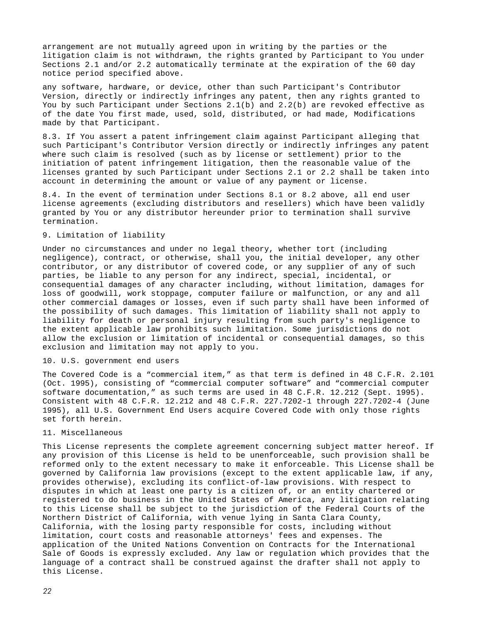arrangement are not mutually agreed upon in writing by the parties or the litigation claim is not withdrawn, the rights granted by Participant to You under Sections 2.1 and/or 2.2 automatically terminate at the expiration of the 60 day notice period specified above.

any software, hardware, or device, other than such Participant's Contributor Version, directly or indirectly infringes any patent, then any rights granted to You by such Participant under Sections 2.1(b) and 2.2(b) are revoked effective as of the date You first made, used, sold, distributed, or had made, Modifications made by that Participant.

8.3. If You assert a patent infringement claim against Participant alleging that such Participant's Contributor Version directly or indirectly infringes any patent where such claim is resolved (such as by license or settlement) prior to the initiation of patent infringement litigation, then the reasonable value of the licenses granted by such Participant under Sections 2.1 or 2.2 shall be taken into account in determining the amount or value of any payment or license.

8.4. In the event of termination under Sections 8.1 or 8.2 above, all end user license agreements (excluding distributors and resellers) which have been validly granted by You or any distributor hereunder prior to termination shall survive termination.

#### 9. Limitation of liability

Under no circumstances and under no legal theory, whether tort (including negligence), contract, or otherwise, shall you, the initial developer, any other contributor, or any distributor of covered code, or any supplier of any of such parties, be liable to any person for any indirect, special, incidental, or consequential damages of any character including, without limitation, damages for loss of goodwill, work stoppage, computer failure or malfunction, or any and all other commercial damages or losses, even if such party shall have been informed of the possibility of such damages. This limitation of liability shall not apply to liability for death or personal injury resulting from such party's negligence to the extent applicable law prohibits such limitation. Some jurisdictions do not allow the exclusion or limitation of incidental or consequential damages, so this exclusion and limitation may not apply to you.

#### 10. U.S. government end users

The Covered Code is a "commercial item," as that term is defined in 48 C.F.R. 2.101 (Oct. 1995), consisting of "commercial computer software" and "commercial computer software documentation," as such terms are used in 48 C.F.R. 12.212 (Sept. 1995). Consistent with 48 C.F.R. 12.212 and 48 C.F.R. 227.7202-1 through 227.7202-4 (June 1995), all U.S. Government End Users acquire Covered Code with only those rights set forth herein.

#### 11. Miscellaneous

This License represents the complete agreement concerning subject matter hereof. If any provision of this License is held to be unenforceable, such provision shall be reformed only to the extent necessary to make it enforceable. This License shall be governed by California law provisions (except to the extent applicable law, if any, provides otherwise), excluding its conflict-of-law provisions. With respect to disputes in which at least one party is a citizen of, or an entity chartered or registered to do business in the United States of America, any litigation relating to this License shall be subject to the jurisdiction of the Federal Courts of the Northern District of California, with venue lying in Santa Clara County, California, with the losing party responsible for costs, including without limitation, court costs and reasonable attorneys' fees and expenses. The application of the United Nations Convention on Contracts for the International Sale of Goods is expressly excluded. Any law or regulation which provides that the language of a contract shall be construed against the drafter shall not apply to this License.